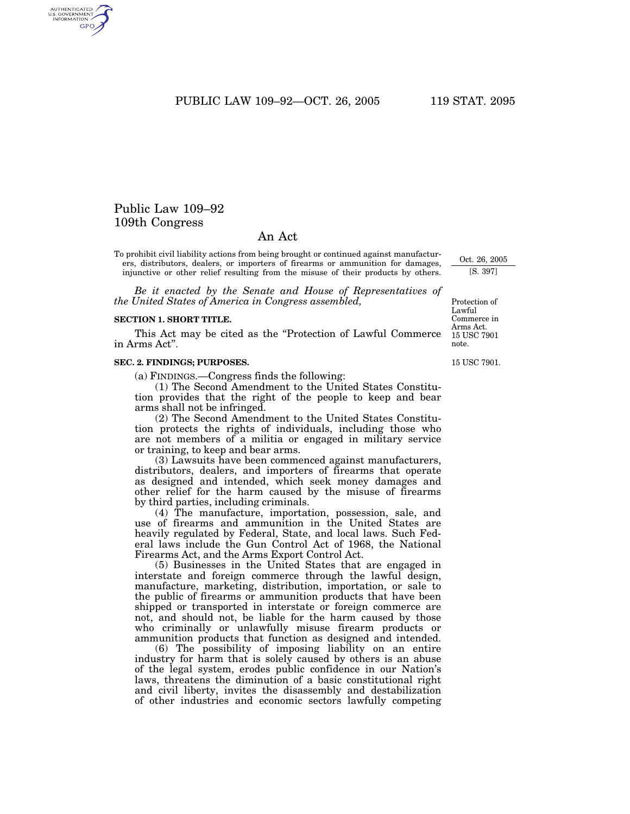PUBLIC LAW 109-92-OCT. 26, 2005 119 STAT. 2095

# Public Law 109–92 109th Congress

# An Act

To prohibit civil liability actions from being brought or continued against manufacturers, distributors, dealers, or importers of firearms or ammunition for damages, injunctive or other relief resulting from the misuse of their products by others.

*Be it enacted by the Senate and House of Representatives of the United States of America in Congress assembled,*

#### **SECTION 1. SHORT TITLE.**

This Act may be cited as the "Protection of Lawful Commerce" in Arms Act''.

#### **SEC. 2. FINDINGS; PURPOSES.**

(a) FINDINGS.—Congress finds the following:

(1) The Second Amendment to the United States Constitution provides that the right of the people to keep and bear arms shall not be infringed.

(2) The Second Amendment to the United States Constitution protects the rights of individuals, including those who are not members of a militia or engaged in military service or training, to keep and bear arms.

(3) Lawsuits have been commenced against manufacturers, distributors, dealers, and importers of firearms that operate as designed and intended, which seek money damages and other relief for the harm caused by the misuse of firearms by third parties, including criminals.

(4) The manufacture, importation, possession, sale, and use of firearms and ammunition in the United States are heavily regulated by Federal, State, and local laws. Such Federal laws include the Gun Control Act of 1968, the National Firearms Act, and the Arms Export Control Act.

(5) Businesses in the United States that are engaged in interstate and foreign commerce through the lawful design, manufacture, marketing, distribution, importation, or sale to the public of firearms or ammunition products that have been shipped or transported in interstate or foreign commerce are not, and should not, be liable for the harm caused by those who criminally or unlawfully misuse firearm products or ammunition products that function as designed and intended.

(6) The possibility of imposing liability on an entire industry for harm that is solely caused by others is an abuse of the legal system, erodes public confidence in our Nation's laws, threatens the diminution of a basic constitutional right and civil liberty, invites the disassembly and destabilization of other industries and economic sectors lawfully competing

Lawful Commerce in Arms Act. 15 USC 7901 note.

Protection of

Oct. 26, 2005 [S. 397]

15 USC 7901.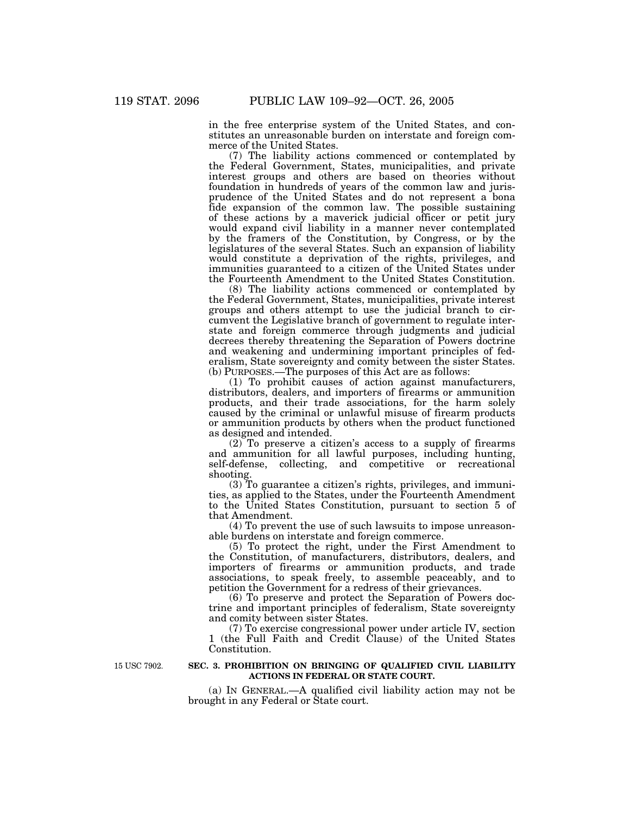in the free enterprise system of the United States, and constitutes an unreasonable burden on interstate and foreign commerce of the United States.

(7) The liability actions commenced or contemplated by the Federal Government, States, municipalities, and private interest groups and others are based on theories without foundation in hundreds of years of the common law and jurisprudence of the United States and do not represent a bona fide expansion of the common law. The possible sustaining of these actions by a maverick judicial officer or petit jury would expand civil liability in a manner never contemplated by the framers of the Constitution, by Congress, or by the legislatures of the several States. Such an expansion of liability would constitute a deprivation of the rights, privileges, and immunities guaranteed to a citizen of the United States under the Fourteenth Amendment to the United States Constitution.

(8) The liability actions commenced or contemplated by the Federal Government, States, municipalities, private interest groups and others attempt to use the judicial branch to circumvent the Legislative branch of government to regulate interstate and foreign commerce through judgments and judicial decrees thereby threatening the Separation of Powers doctrine and weakening and undermining important principles of federalism, State sovereignty and comity between the sister States. (b) PURPOSES.—The purposes of this Act are as follows:

(1) To prohibit causes of action against manufacturers, distributors, dealers, and importers of firearms or ammunition products, and their trade associations, for the harm solely caused by the criminal or unlawful misuse of firearm products or ammunition products by others when the product functioned as designed and intended.

(2) To preserve a citizen's access to a supply of firearms and ammunition for all lawful purposes, including hunting, self-defense, collecting, and competitive or recreational shooting.

(3) To guarantee a citizen's rights, privileges, and immunities, as applied to the States, under the Fourteenth Amendment to the United States Constitution, pursuant to section 5 of that Amendment.

(4) To prevent the use of such lawsuits to impose unreasonable burdens on interstate and foreign commerce.

(5) To protect the right, under the First Amendment to the Constitution, of manufacturers, distributors, dealers, and importers of firearms or ammunition products, and trade associations, to speak freely, to assemble peaceably, and to petition the Government for a redress of their grievances.

(6) To preserve and protect the Separation of Powers doctrine and important principles of federalism, State sovereignty and comity between sister States.

(7) To exercise congressional power under article IV, section 1 (the Full Faith and Credit Clause) of the United States Constitution.

15 USC 7902.

## **SEC. 3. PROHIBITION ON BRINGING OF QUALIFIED CIVIL LIABILITY ACTIONS IN FEDERAL OR STATE COURT.**

(a) IN GENERAL.—A qualified civil liability action may not be brought in any Federal or State court.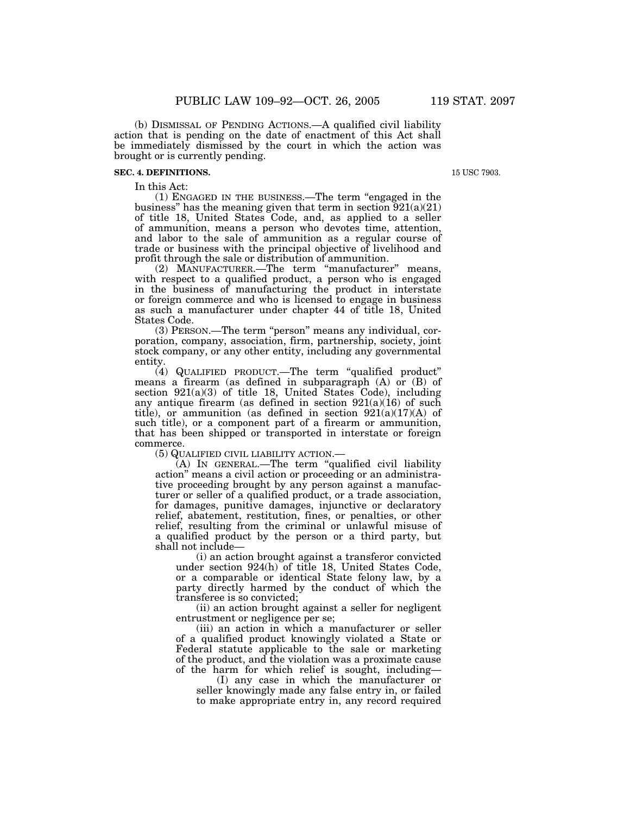(b) DISMISSAL OF PENDING ACTIONS.—A qualified civil liability action that is pending on the date of enactment of this Act shall be immediately dismissed by the court in which the action was brought or is currently pending.

## **SEC. 4. DEFINITIONS.**

In this Act:

(1) ENGAGED IN THE BUSINESS.—The term ''engaged in the business" has the meaning given that term in section  $921(a)(21)$ of title 18, United States Code, and, as applied to a seller of ammunition, means a person who devotes time, attention, and labor to the sale of ammunition as a regular course of trade or business with the principal objective of livelihood and profit through the sale or distribution of ammunition.

(2) MANUFACTURER.—The term ''manufacturer'' means, with respect to a qualified product, a person who is engaged in the business of manufacturing the product in interstate or foreign commerce and who is licensed to engage in business as such a manufacturer under chapter 44 of title 18, United States Code.

(3) PERSON.—The term ''person'' means any individual, corporation, company, association, firm, partnership, society, joint stock company, or any other entity, including any governmental entity.

(4) QUALIFIED PRODUCT.—The term ''qualified product'' means a firearm (as defined in subparagraph (A) or (B) of section  $921(a)(3)$  of title 18, United States Code), including any antique firearm (as defined in section  $921(a)(16)$  of such title), or ammunition (as defined in section  $921(a)(17)(A)$  of such title), or a component part of a firearm or ammunition, that has been shipped or transported in interstate or foreign commerce.

(5) QUALIFIED CIVIL LIABILITY ACTION.—

(A) IN GENERAL.—The term ''qualified civil liability action'' means a civil action or proceeding or an administrative proceeding brought by any person against a manufacturer or seller of a qualified product, or a trade association, for damages, punitive damages, injunctive or declaratory relief, abatement, restitution, fines, or penalties, or other relief, resulting from the criminal or unlawful misuse of a qualified product by the person or a third party, but shall not include—

(i) an action brought against a transferor convicted under section 924(h) of title 18, United States Code, or a comparable or identical State felony law, by a party directly harmed by the conduct of which the transferee is so convicted;

(ii) an action brought against a seller for negligent entrustment or negligence per se;

(iii) an action in which a manufacturer or seller of a qualified product knowingly violated a State or Federal statute applicable to the sale or marketing of the product, and the violation was a proximate cause of the harm for which relief is sought, including—

(I) any case in which the manufacturer or seller knowingly made any false entry in, or failed to make appropriate entry in, any record required

15 USC 7903.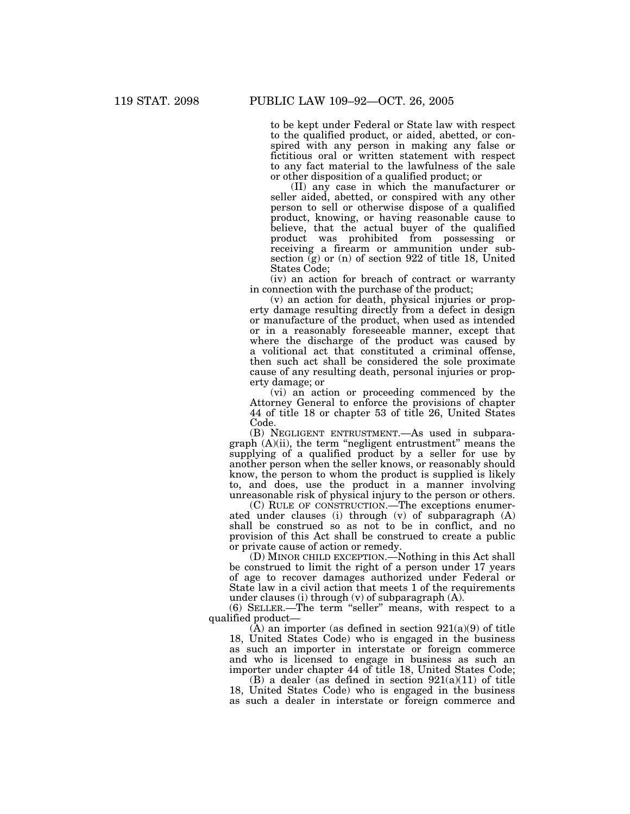to be kept under Federal or State law with respect to the qualified product, or aided, abetted, or conspired with any person in making any false or fictitious oral or written statement with respect to any fact material to the lawfulness of the sale or other disposition of a qualified product; or

(II) any case in which the manufacturer or seller aided, abetted, or conspired with any other person to sell or otherwise dispose of a qualified product, knowing, or having reasonable cause to believe, that the actual buyer of the qualified product was prohibited from possessing or receiving a firearm or ammunition under subsection (g) or (n) of section 922 of title 18, United States Code:

(iv) an action for breach of contract or warranty in connection with the purchase of the product;

(v) an action for death, physical injuries or property damage resulting directly from a defect in design or manufacture of the product, when used as intended or in a reasonably foreseeable manner, except that where the discharge of the product was caused by a volitional act that constituted a criminal offense, then such act shall be considered the sole proximate cause of any resulting death, personal injuries or property damage; or

(vi) an action or proceeding commenced by the Attorney General to enforce the provisions of chapter 44 of title 18 or chapter 53 of title 26, United States Code.

(B) NEGLIGENT ENTRUSTMENT.—As used in subparagraph (A)(ii), the term "negligent entrustment" means the supplying of a qualified product by a seller for use by another person when the seller knows, or reasonably should know, the person to whom the product is supplied is likely to, and does, use the product in a manner involving unreasonable risk of physical injury to the person or others.

(C) RULE OF CONSTRUCTION.—The exceptions enumerated under clauses (i) through (v) of subparagraph (A) shall be construed so as not to be in conflict, and no provision of this Act shall be construed to create a public or private cause of action or remedy.

(D) MINOR CHILD EXCEPTION.—Nothing in this Act shall be construed to limit the right of a person under 17 years of age to recover damages authorized under Federal or State law in a civil action that meets 1 of the requirements under clauses (i) through (v) of subparagraph (A).

(6) SELLER.—The term ''seller'' means, with respect to a qualified product—

 $(A)$  an importer (as defined in section  $921(a)(9)$  of title 18, United States Code) who is engaged in the business as such an importer in interstate or foreign commerce and who is licensed to engage in business as such an importer under chapter 44 of title 18, United States Code;

 $(B)$  a dealer (as defined in section  $921(a)(11)$  of title 18, United States Code) who is engaged in the business as such a dealer in interstate or foreign commerce and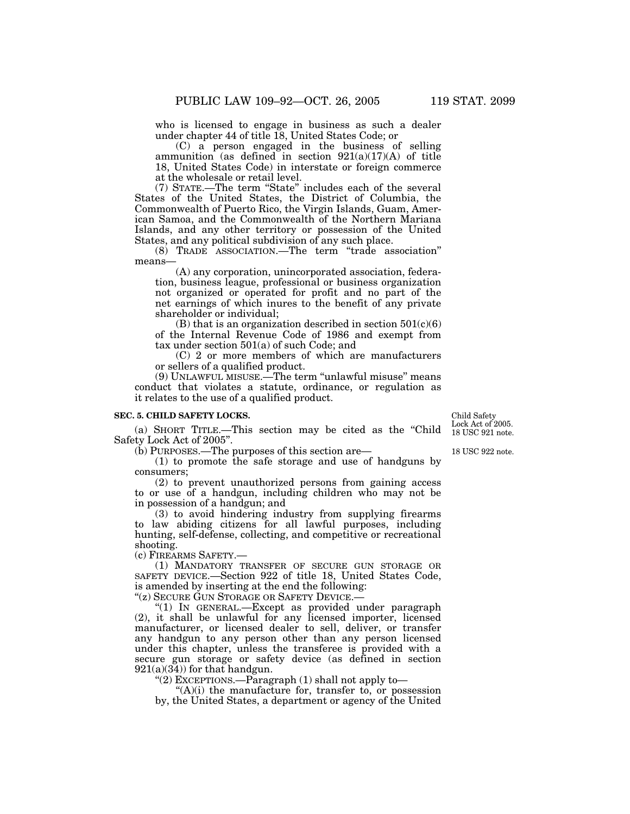who is licensed to engage in business as such a dealer under chapter 44 of title 18, United States Code; or

(C) a person engaged in the business of selling ammunition (as defined in section  $921(a)(17)(A)$  of title 18, United States Code) in interstate or foreign commerce at the wholesale or retail level.

(7) STATE.—The term ''State'' includes each of the several States of the United States, the District of Columbia, the Commonwealth of Puerto Rico, the Virgin Islands, Guam, American Samoa, and the Commonwealth of the Northern Mariana Islands, and any other territory or possession of the United States, and any political subdivision of any such place.

(8) TRADE ASSOCIATION.—The term ''trade association'' means—

(A) any corporation, unincorporated association, federation, business league, professional or business organization not organized or operated for profit and no part of the net earnings of which inures to the benefit of any private shareholder or individual;

 $(B)$  that is an organization described in section  $501(c)(6)$ of the Internal Revenue Code of 1986 and exempt from tax under section 501(a) of such Code; and

(C) 2 or more members of which are manufacturers or sellers of a qualified product.

(9) UNLAWFUL MISUSE.—The term ''unlawful misuse'' means conduct that violates a statute, ordinance, or regulation as it relates to the use of a qualified product.

### **SEC. 5. CHILD SAFETY LOCKS.**

(a) SHORT TITLE.—This section may be cited as the ''Child Safety Lock Act of 2005''.

(b) PURPOSES.—The purposes of this section are—

Child Safety Lock Act of 2005. 18 USC 921 note.

(1) to promote the safe storage and use of handguns by consumers;

(2) to prevent unauthorized persons from gaining access to or use of a handgun, including children who may not be in possession of a handgun; and

(3) to avoid hindering industry from supplying firearms to law abiding citizens for all lawful purposes, including hunting, self-defense, collecting, and competitive or recreational shooting.

(c) FIREARMS SAFETY.—

(1) MANDATORY TRANSFER OF SECURE GUN STORAGE OR SAFETY DEVICE.—Section 922 of title 18, United States Code, is amended by inserting at the end the following:

''(z) SECURE GUN STORAGE OR SAFETY DEVICE.—

"(1) In GENERAL.—Except as provided under paragraph (2), it shall be unlawful for any licensed importer, licensed manufacturer, or licensed dealer to sell, deliver, or transfer any handgun to any person other than any person licensed under this chapter, unless the transferee is provided with a secure gun storage or safety device (as defined in section  $921(a)(34)$  for that handgun.

"(2) EXCEPTIONS.—Paragraph  $(1)$  shall not apply to—

 $(A)(i)$  the manufacture for, transfer to, or possession by, the United States, a department or agency of the United

18 USC 922 note.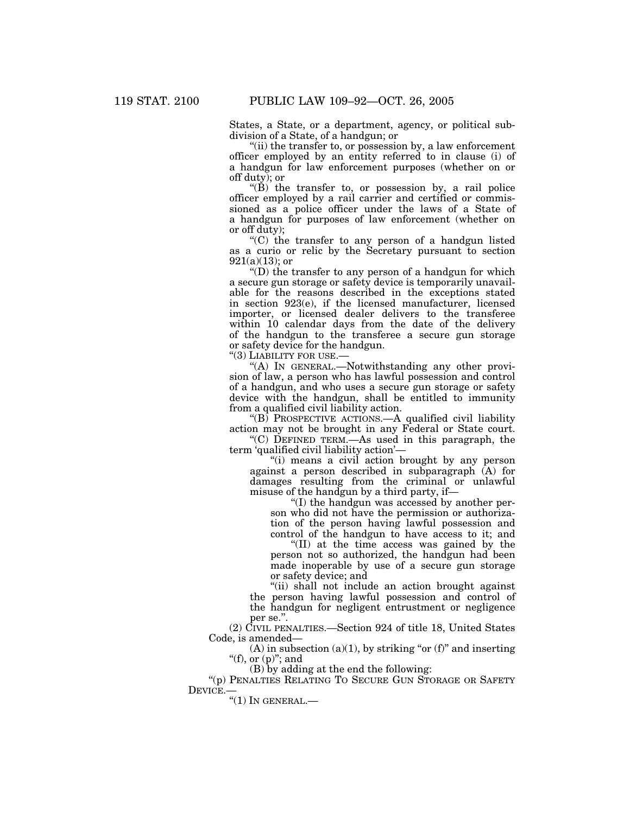States, a State, or a department, agency, or political subdivision of a State, of a handgun; or

"(ii) the transfer to, or possession by, a law enforcement officer employed by an entity referred to in clause (i) of a handgun for law enforcement purposes (whether on or off duty); or

 $'(B)$  the transfer to, or possession by, a rail police officer employed by a rail carrier and certified or commissioned as a police officer under the laws of a State of a handgun for purposes of law enforcement (whether on or off duty);

 $C$ ) the transfer to any person of a handgun listed as a curio or relic by the Secretary pursuant to section  $921(a)(13);$  or

''(D) the transfer to any person of a handgun for which a secure gun storage or safety device is temporarily unavailable for the reasons described in the exceptions stated in section 923(e), if the licensed manufacturer, licensed importer, or licensed dealer delivers to the transferee within 10 calendar days from the date of the delivery of the handgun to the transferee a secure gun storage or safety device for the handgun.

"(3) LIABILITY FOR USE.-

''(A) IN GENERAL.—Notwithstanding any other provision of law, a person who has lawful possession and control of a handgun, and who uses a secure gun storage or safety device with the handgun, shall be entitled to immunity from a qualified civil liability action.

"(B) PROSPECTIVE ACTIONS.—A qualified civil liability action may not be brought in any Federal or State court.

''(C) DEFINED TERM.—As used in this paragraph, the term 'qualified civil liability action'—

''(i) means a civil action brought by any person against a person described in subparagraph (A) for damages resulting from the criminal or unlawful misuse of the handgun by a third party, if—

''(I) the handgun was accessed by another person who did not have the permission or authorization of the person having lawful possession and control of the handgun to have access to it; and

''(II) at the time access was gained by the person not so authorized, the handgun had been made inoperable by use of a secure gun storage or safety device; and

"(ii) shall not include an action brought against the person having lawful possession and control of the handgun for negligent entrustment or negligence per se.''.

(2) CIVIL PENALTIES.—Section 924 of title 18, United States Code, is amended—

 $(A)$  in subsection  $(a)(1)$ , by striking "or  $(f)$ " and inserting "(f), or  $(p)$ "; and

(B) by adding at the end the following:

''(p) PENALTIES RELATING TO SECURE GUN STORAGE OR SAFETY DEVICE.—

" $(1)$  In GENERAL.—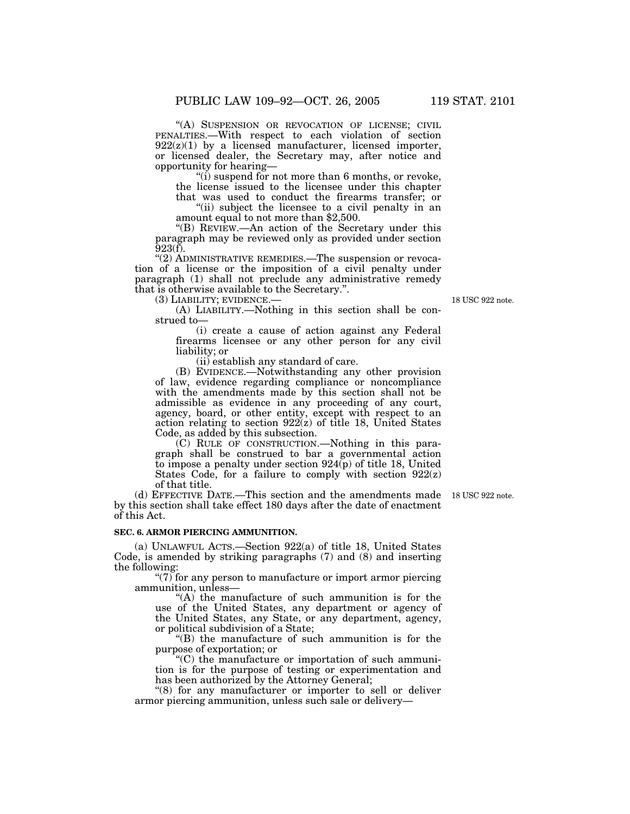''(A) SUSPENSION OR REVOCATION OF LICENSE; CIVIL PENALTIES.—With respect to each violation of section  $922(z)(1)$  by a licensed manufacturer, licensed importer, or licensed dealer, the Secretary may, after notice and opportunity for hearing—

" $(i)$  suspend for not more than 6 months, or revoke, the license issued to the licensee under this chapter that was used to conduct the firearms transfer; or "(ii) subject the licensee to a civil penalty in an

amount equal to not more than \$2,500.

''(B) REVIEW.—An action of the Secretary under this paragraph may be reviewed only as provided under section  $923(f)$ .

"(2) ADMINISTRATIVE REMEDIES.—The suspension or revocation of a license or the imposition of a civil penalty under paragraph (1) shall not preclude any administrative remedy that is otherwise available to the Secretary.''.

(3) LIABILITY; EVIDENCE.—

(A) LIABILITY.—Nothing in this section shall be construed to—

(i) create a cause of action against any Federal firearms licensee or any other person for any civil liability; or

(ii) establish any standard of care.

(B) EVIDENCE.—Notwithstanding any other provision of law, evidence regarding compliance or noncompliance with the amendments made by this section shall not be admissible as evidence in any proceeding of any court, agency, board, or other entity, except with respect to an action relating to section 922(z) of title 18, United States Code, as added by this subsection.

(C) RULE OF CONSTRUCTION.—Nothing in this paragraph shall be construed to bar a governmental action to impose a penalty under section  $924(p)$  of title 18, United States Code, for a failure to comply with section  $922(z)$ of that title.

(d) EFFECTIVE DATE.—This section and the amendments made 18 USC 922 note. by this section shall take effect 180 days after the date of enactment of this Act.

## **SEC. 6. ARMOR PIERCING AMMUNITION.**

(a) UNLAWFUL ACTS.—Section 922(a) of title 18, United States Code, is amended by striking paragraphs (7) and (8) and inserting the following:

" $(7)$  for any person to manufacture or import armor piercing ammunition, unless—

''(A) the manufacture of such ammunition is for the use of the United States, any department or agency of the United States, any State, or any department, agency, or political subdivision of a State;

''(B) the manufacture of such ammunition is for the purpose of exportation; or

''(C) the manufacture or importation of such ammunition is for the purpose of testing or experimentation and has been authorized by the Attorney General;

"(8) for any manufacturer or importer to sell or deliver armor piercing ammunition, unless such sale or delivery—

18 USC 922 note.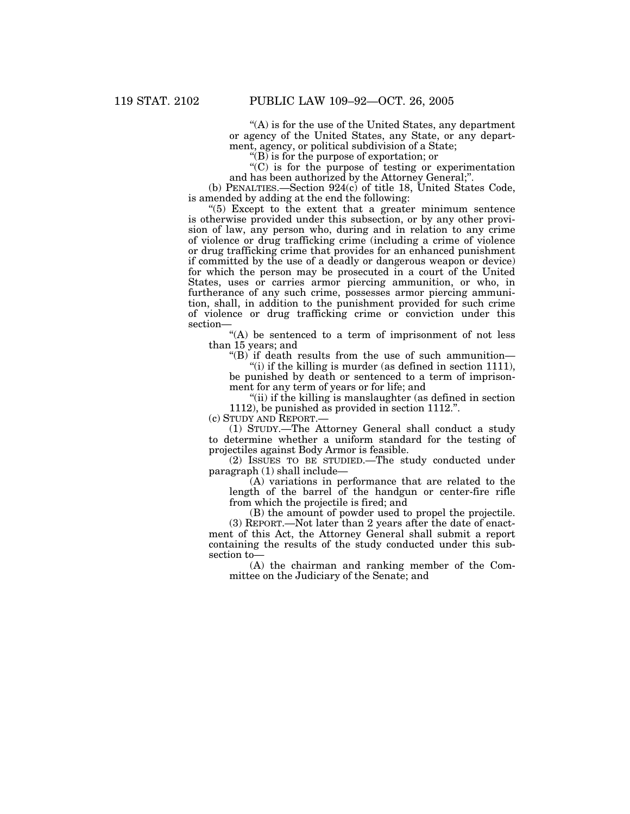$<sup>"</sup>(A)$  is for the use of the United States, any department</sup> or agency of the United States, any State, or any department, agency, or political subdivision of a State;

 $\mathcal{F}(B)$  is for the purpose of exportation; or

''(C) is for the purpose of testing or experimentation and has been authorized by the Attorney General;''.

(b) PENALTIES.—Section 924(c) of title 18, United States Code, is amended by adding at the end the following:

''(5) Except to the extent that a greater minimum sentence is otherwise provided under this subsection, or by any other provision of law, any person who, during and in relation to any crime of violence or drug trafficking crime (including a crime of violence or drug trafficking crime that provides for an enhanced punishment if committed by the use of a deadly or dangerous weapon or device) for which the person may be prosecuted in a court of the United States, uses or carries armor piercing ammunition, or who, in furtherance of any such crime, possesses armor piercing ammunition, shall, in addition to the punishment provided for such crime of violence or drug trafficking crime or conviction under this section—

"(A) be sentenced to a term of imprisonment of not less than 15 years; and

''(B) if death results from the use of such ammunition—

"(i) if the killing is murder (as defined in section 1111), be punished by death or sentenced to a term of imprisonment for any term of years or for life; and

''(ii) if the killing is manslaughter (as defined in section 1112), be punished as provided in section 1112.''.

(c) STUDY AND REPORT.—

(1) STUDY.—The Attorney General shall conduct a study to determine whether a uniform standard for the testing of projectiles against Body Armor is feasible.

(2) ISSUES TO BE STUDIED.—The study conducted under paragraph (1) shall include—

(A) variations in performance that are related to the length of the barrel of the handgun or center-fire rifle from which the projectile is fired; and

(B) the amount of powder used to propel the projectile.

(3) REPORT.—Not later than 2 years after the date of enactment of this Act, the Attorney General shall submit a report containing the results of the study conducted under this subsection to—

(A) the chairman and ranking member of the Committee on the Judiciary of the Senate; and